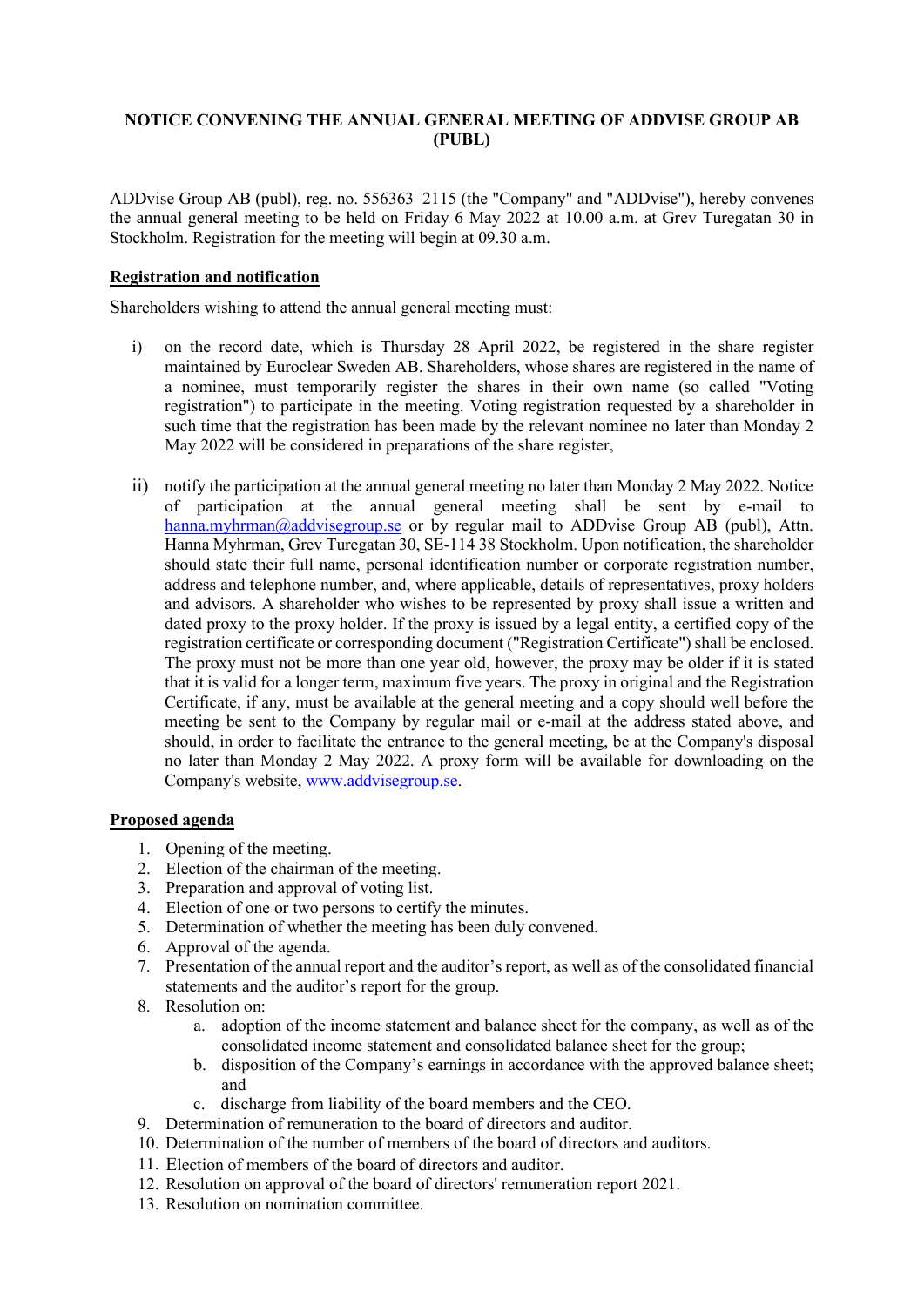# **NOTICE CONVENING THE ANNUAL GENERAL MEETING OF ADDVISE GROUP AB (PUBL)**

ADDvise Group AB (publ), reg. no. 556363–2115 (the "Company" and "ADDvise"), hereby convenes the annual general meeting to be held on Friday 6 May 2022 at 10.00 a.m. at Grev Turegatan 30 in Stockholm. Registration for the meeting will begin at 09.30 a.m.

# **Registration and notification**

Shareholders wishing to attend the annual general meeting must:

- i) on the record date, which is Thursday 28 April 2022, be registered in the share register maintained by Euroclear Sweden AB. Shareholders, whose shares are registered in the name of a nominee, must temporarily register the shares in their own name (so called "Voting registration") to participate in the meeting. Voting registration requested by a shareholder in such time that the registration has been made by the relevant nominee no later than Monday 2 May 2022 will be considered in preparations of the share register,
- ii) notify the participation at the annual general meeting no later than Monday 2 May 2022. Notice of participation at the annual general meeting shall be sent by e-mail to [hanna.myhrman@addvisegroup.se](mailto:hanna.myhrman@addvisegroup.se) or by regular mail to ADDvise Group AB (publ), Attn. Hanna Myhrman, Grev Turegatan 30, SE-114 38 Stockholm. Upon notification, the shareholder should state their full name, personal identification number or corporate registration number, address and telephone number, and, where applicable, details of representatives, proxy holders and advisors. A shareholder who wishes to be represented by proxy shall issue a written and dated proxy to the proxy holder. If the proxy is issued by a legal entity, a certified copy of the registration certificate or corresponding document ("Registration Certificate") shall be enclosed. The proxy must not be more than one year old, however, the proxy may be older if it is stated that it is valid for a longer term, maximum five years. The proxy in original and the Registration Certificate, if any, must be available at the general meeting and a copy should well before the meeting be sent to the Company by regular mail or e-mail at the address stated above, and should, in order to facilitate the entrance to the general meeting, be at the Company's disposal no later than Monday 2 May 2022. A proxy form will be available for downloading on the Company's website, [www.addvisegroup.se.](http://www.addvisegroup.se/)

### **Proposed agenda**

- 1. Opening of the meeting.
- 2. Election of the chairman of the meeting.
- 3. Preparation and approval of voting list.
- 4. Election of one or two persons to certify the minutes.
- 5. Determination of whether the meeting has been duly convened.
- 6. Approval of the agenda.
- 7. Presentation of the annual report and the auditor's report, as well as of the consolidated financial statements and the auditor's report for the group.
- 8. Resolution on:
	- a. adoption of the income statement and balance sheet for the company, as well as of the consolidated income statement and consolidated balance sheet for the group;
	- b. disposition of the Company's earnings in accordance with the approved balance sheet; and
	- c. discharge from liability of the board members and the CEO.
- 9. Determination of remuneration to the board of directors and auditor.
- 10. Determination of the number of members of the board of directors and auditors.
- 11. Election of members of the board of directors and auditor.
- 12. Resolution on approval of the board of directors' remuneration report 2021.
- 13. Resolution on nomination committee.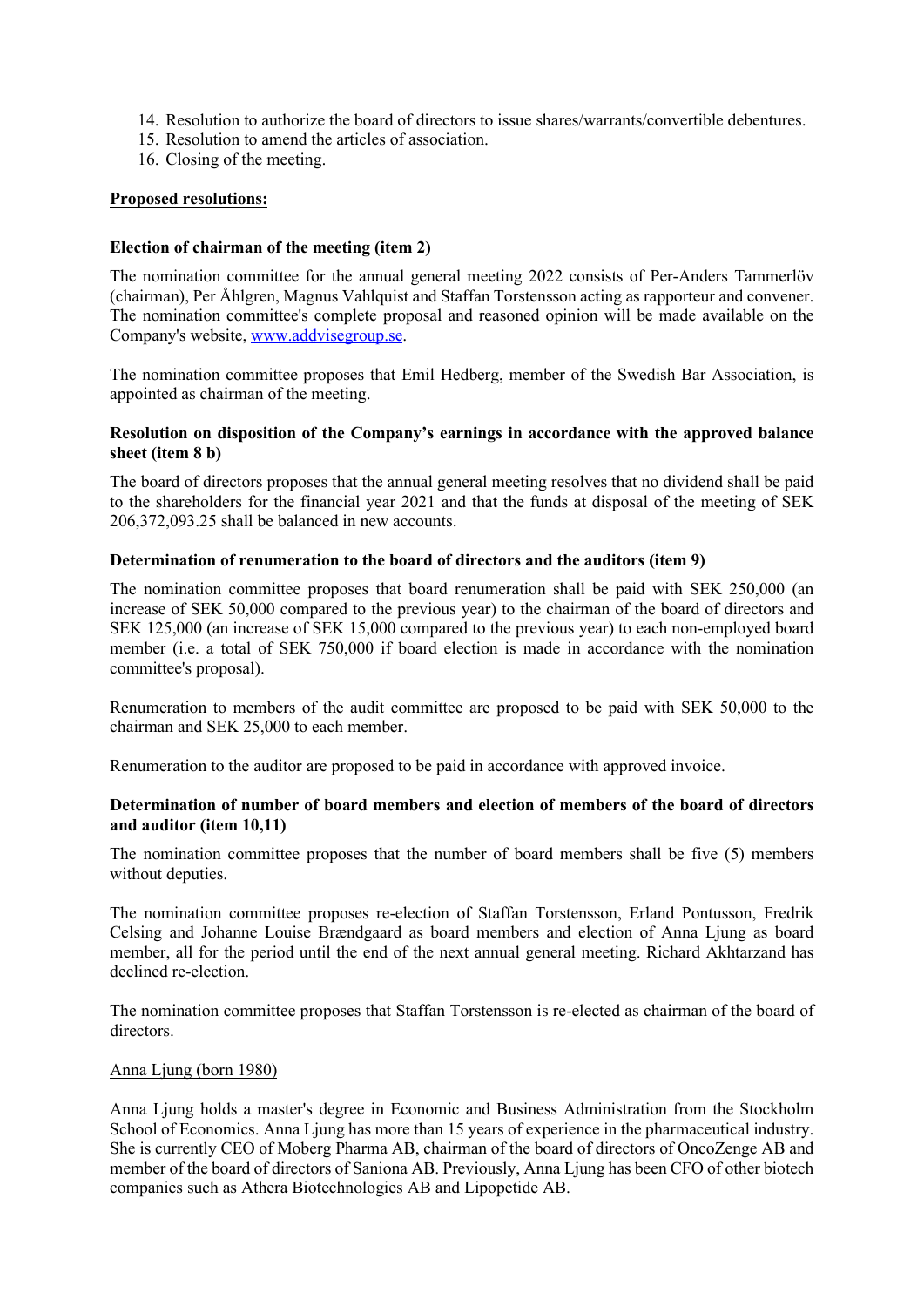- 14. Resolution to authorize the board of directors to issue shares/warrants/convertible debentures.
- 15. Resolution to amend the articles of association.
- 16. Closing of the meeting.

## **Proposed resolutions:**

## **Election of chairman of the meeting (item 2)**

The nomination committee for the annual general meeting 2022 consists of Per-Anders Tammerlöv (chairman), Per Åhlgren, Magnus Vahlquist and Staffan Torstensson acting as rapporteur and convener. The nomination committee's complete proposal and reasoned opinion will be made available on the Company's website[, www.addvisegroup.se.](http://www.addvisegroup.se/)

The nomination committee proposes that Emil Hedberg, member of the Swedish Bar Association, is appointed as chairman of the meeting.

## **Resolution on disposition of the Company's earnings in accordance with the approved balance sheet (item 8 b)**

The board of directors proposes that the annual general meeting resolves that no dividend shall be paid to the shareholders for the financial year 2021 and that the funds at disposal of the meeting of SEK 206,372,093.25 shall be balanced in new accounts.

## **Determination of renumeration to the board of directors and the auditors (item 9)**

The nomination committee proposes that board renumeration shall be paid with SEK 250,000 (an increase of SEK 50,000 compared to the previous year) to the chairman of the board of directors and SEK 125,000 (an increase of SEK 15,000 compared to the previous year) to each non-employed board member (i.e. a total of SEK 750,000 if board election is made in accordance with the nomination committee's proposal).

Renumeration to members of the audit committee are proposed to be paid with SEK 50,000 to the chairman and SEK 25,000 to each member.

Renumeration to the auditor are proposed to be paid in accordance with approved invoice.

## **Determination of number of board members and election of members of the board of directors and auditor (item 10,11)**

The nomination committee proposes that the number of board members shall be five (5) members without deputies.

The nomination committee proposes re-election of Staffan Torstensson, Erland Pontusson, Fredrik Celsing and Johanne Louise Brændgaard as board members and election of Anna Ljung as board member, all for the period until the end of the next annual general meeting. Richard Akhtarzand has declined re-election.

The nomination committee proposes that Staffan Torstensson is re-elected as chairman of the board of directors.

### Anna Ljung (born 1980)

Anna Ljung holds a master's degree in Economic and Business Administration from the Stockholm School of Economics. Anna Ljung has more than 15 years of experience in the pharmaceutical industry. She is currently CEO of Moberg Pharma AB, chairman of the board of directors of OncoZenge AB and member of the board of directors of Saniona AB. Previously, Anna Ljung has been CFO of other biotech companies such as Athera Biotechnologies AB and Lipopetide AB.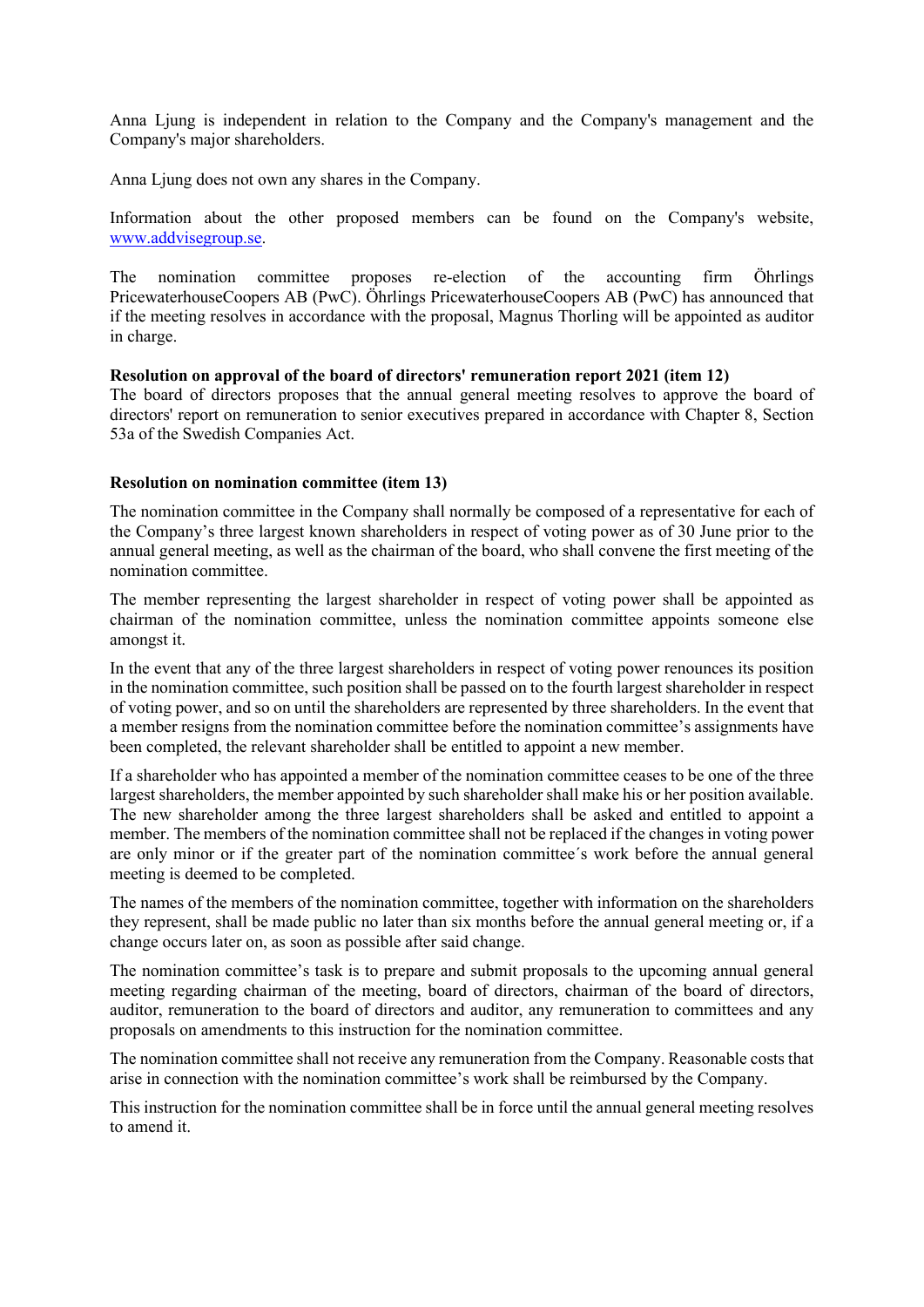Anna Ljung is independent in relation to the Company and the Company's management and the Company's major shareholders.

Anna Ljung does not own any shares in the Company.

Information about the other proposed members can be found on the Company's website, [www.addvisegroup.se.](http://www.addvisegroup.se/)

The nomination committee proposes re-election of the accounting firm Öhrlings PricewaterhouseCoopers AB (PwC). Öhrlings PricewaterhouseCoopers AB (PwC) has announced that if the meeting resolves in accordance with the proposal, Magnus Thorling will be appointed as auditor in charge.

#### **Resolution on approval of the board of directors' remuneration report 2021 (item 12)**

The board of directors proposes that the annual general meeting resolves to approve the board of directors' report on remuneration to senior executives prepared in accordance with Chapter 8, Section 53a of the Swedish Companies Act.

#### **Resolution on nomination committee (item 13)**

The nomination committee in the Company shall normally be composed of a representative for each of the Company's three largest known shareholders in respect of voting power as of 30 June prior to the annual general meeting, as well as the chairman of the board, who shall convene the first meeting of the nomination committee.

The member representing the largest shareholder in respect of voting power shall be appointed as chairman of the nomination committee, unless the nomination committee appoints someone else amongst it.

In the event that any of the three largest shareholders in respect of voting power renounces its position in the nomination committee, such position shall be passed on to the fourth largest shareholder in respect of voting power, and so on until the shareholders are represented by three shareholders. In the event that a member resigns from the nomination committee before the nomination committee's assignments have been completed, the relevant shareholder shall be entitled to appoint a new member.

If a shareholder who has appointed a member of the nomination committee ceases to be one of the three largest shareholders, the member appointed by such shareholder shall make his or her position available. The new shareholder among the three largest shareholders shall be asked and entitled to appoint a member. The members of the nomination committee shall not be replaced if the changes in voting power are only minor or if the greater part of the nomination committee´s work before the annual general meeting is deemed to be completed.

The names of the members of the nomination committee, together with information on the shareholders they represent, shall be made public no later than six months before the annual general meeting or, if a change occurs later on, as soon as possible after said change.

The nomination committee's task is to prepare and submit proposals to the upcoming annual general meeting regarding chairman of the meeting, board of directors, chairman of the board of directors, auditor, remuneration to the board of directors and auditor, any remuneration to committees and any proposals on amendments to this instruction for the nomination committee.

The nomination committee shall not receive any remuneration from the Company. Reasonable costs that arise in connection with the nomination committee's work shall be reimbursed by the Company.

This instruction for the nomination committee shall be in force until the annual general meeting resolves to amend it.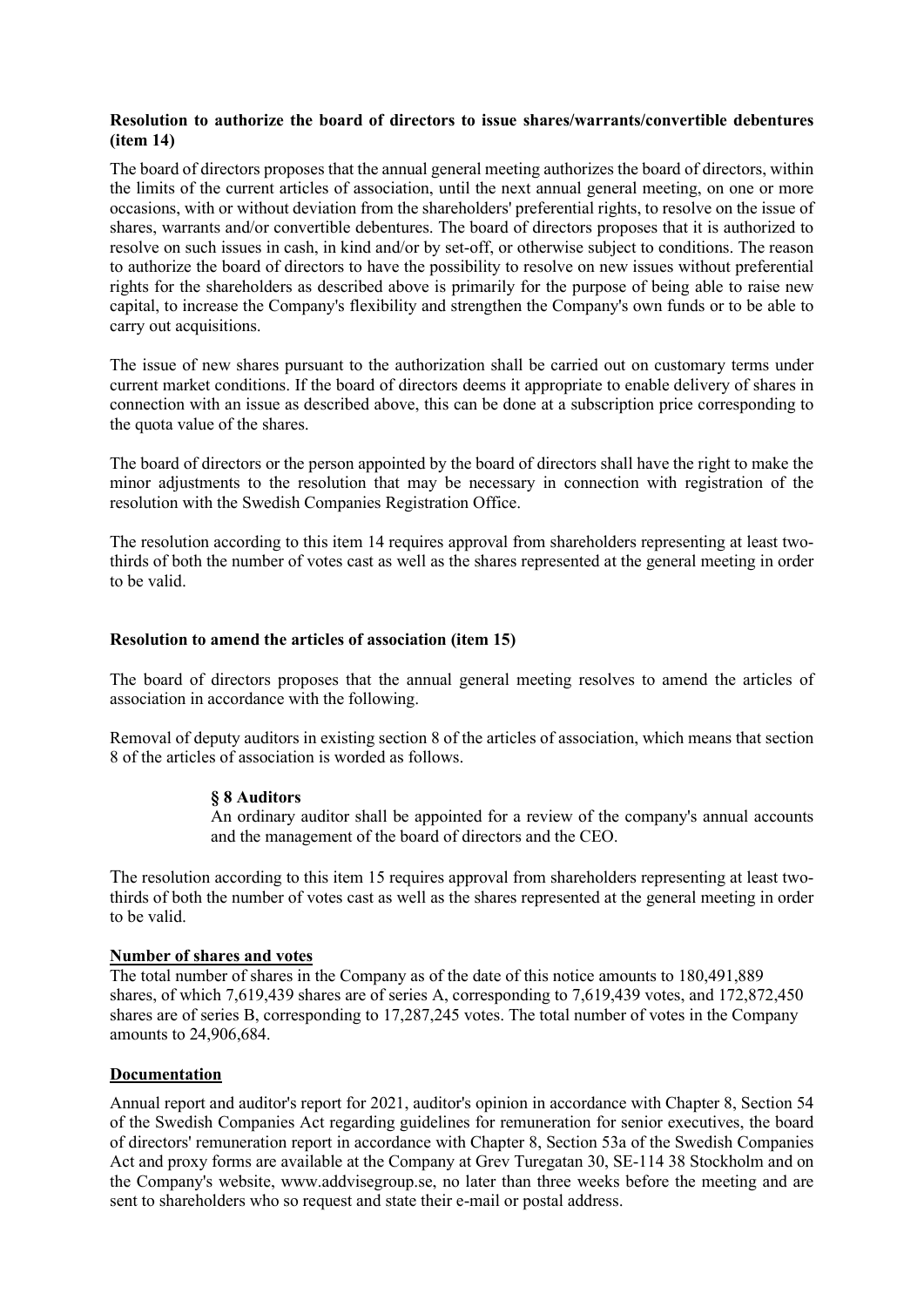## **Resolution to authorize the board of directors to issue shares/warrants/convertible debentures (item 14)**

The board of directors proposes that the annual general meeting authorizes the board of directors, within the limits of the current articles of association, until the next annual general meeting, on one or more occasions, with or without deviation from the shareholders' preferential rights, to resolve on the issue of shares, warrants and/or convertible debentures. The board of directors proposes that it is authorized to resolve on such issues in cash, in kind and/or by set-off, or otherwise subject to conditions. The reason to authorize the board of directors to have the possibility to resolve on new issues without preferential rights for the shareholders as described above is primarily for the purpose of being able to raise new capital, to increase the Company's flexibility and strengthen the Company's own funds or to be able to carry out acquisitions.

The issue of new shares pursuant to the authorization shall be carried out on customary terms under current market conditions. If the board of directors deems it appropriate to enable delivery of shares in connection with an issue as described above, this can be done at a subscription price corresponding to the quota value of the shares.

The board of directors or the person appointed by the board of directors shall have the right to make the minor adjustments to the resolution that may be necessary in connection with registration of the resolution with the Swedish Companies Registration Office.

The resolution according to this item 14 requires approval from shareholders representing at least twothirds of both the number of votes cast as well as the shares represented at the general meeting in order to be valid.

### **Resolution to amend the articles of association (item 15)**

The board of directors proposes that the annual general meeting resolves to amend the articles of association in accordance with the following.

Removal of deputy auditors in existing section 8 of the articles of association, which means that section 8 of the articles of association is worded as follows.

### **§ 8 Auditors**

An ordinary auditor shall be appointed for a review of the company's annual accounts and the management of the board of directors and the CEO.

The resolution according to this item 15 requires approval from shareholders representing at least twothirds of both the number of votes cast as well as the shares represented at the general meeting in order to be valid.

### **Number of shares and votes**

The total number of shares in the Company as of the date of this notice amounts to 180,491,889 shares, of which 7,619,439 shares are of series A, corresponding to 7,619,439 votes, and 172,872,450 shares are of series B, corresponding to 17,287,245 votes. The total number of votes in the Company amounts to 24,906,684.

# **Documentation**

Annual report and auditor's report for 2021, auditor's opinion in accordance with Chapter 8, Section 54 of the Swedish Companies Act regarding guidelines for remuneration for senior executives, the board of directors' remuneration report in accordance with Chapter 8, Section 53a of the Swedish Companies Act and proxy forms are available at the Company at Grev Turegatan 30, SE-114 38 Stockholm and on the Company's website, www.addvisegroup.se, no later than three weeks before the meeting and are sent to shareholders who so request and state their e-mail or postal address.